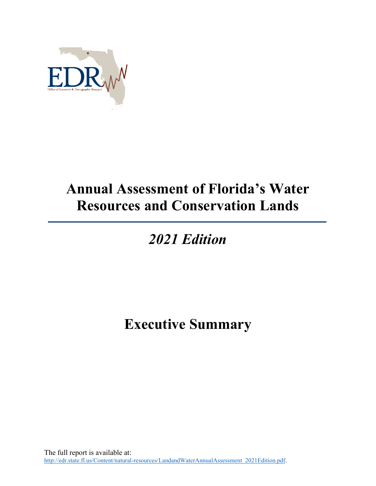

## **Annual Assessment of Florida's Water Resources and Conservation Lands**

## *2021 Edition*

## **Executive Summary**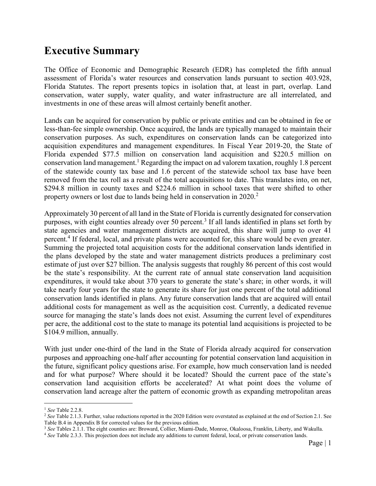## **Executive Summary**

The Office of Economic and Demographic Research (EDR) has completed the fifth annual assessment of Florida's water resources and conservation lands pursuant to section 403.928, Florida Statutes. The report presents topics in isolation that, at least in part, overlap. Land conservation, water supply, water quality, and water infrastructure are all interrelated, and investments in one of these areas will almost certainly benefit another.

Lands can be acquired for conservation by public or private entities and can be obtained in fee or less-than-fee simple ownership. Once acquired, the lands are typically managed to maintain their conservation purposes. As such, expenditures on conservation lands can be categorized into acquisition expenditures and management expenditures. In Fiscal Year 2019-20, the State of Florida expended \$77.5 million on conservation land acquisition and \$220.5 million on conservation land management.<sup>1</sup> Regarding the impact on ad valorem taxation, roughly 1.8 percent of the statewide county tax base and 1.6 percent of the statewide school tax base have been removed from the tax roll as a result of the total acquisitions to date. This translates into, on net, \$294.8 million in county taxes and \$224.6 million in school taxes that were shifted to other property owners or lost due to lands being held in conservation in 2020.<sup>2</sup>

Approximately 30 percent of all land in the State of Florida is currently designated for conservation purposes, with eight counties already over 50 percent.<sup>3</sup> If all lands identified in plans set forth by state agencies and water management districts are acquired, this share will jump to over 41 percent.<sup>4</sup> If federal, local, and private plans were accounted for, this share would be even greater. Summing the projected total acquisition costs for the additional conservation lands identified in the plans developed by the state and water management districts produces a preliminary cost estimate of just over \$27 billion. The analysis suggests that roughly 86 percent of this cost would be the state's responsibility. At the current rate of annual state conservation land acquisition expenditures, it would take about 370 years to generate the state's share; in other words, it will take nearly four years for the state to generate its share for just one percent of the total additional conservation lands identified in plans. Any future conservation lands that are acquired will entail additional costs for management as well as the acquisition cost. Currently, a dedicated revenue source for managing the state's lands does not exist. Assuming the current level of expenditures per acre, the additional cost to the state to manage its potential land acquisitions is projected to be \$104.9 million, annually.

With just under one-third of the land in the State of Florida already acquired for conservation purposes and approaching one-half after accounting for potential conservation land acquisition in the future, significant policy questions arise. For example, how much conservation land is needed and for what purpose? Where should it be located? Should the current pace of the state's conservation land acquisition efforts be accelerated? At what point does the volume of conservation land acreage alter the pattern of economic growth as expanding metropolitan areas

 $\overline{a}$ 

<sup>1</sup> *See* Table 2.2.8.

<sup>&</sup>lt;sup>2</sup> See Table 2.1.3. Further, value reductions reported in the 2020 Edition were overstated as explained at the end of Section 2.1. See Table B.4 in Appendix B for corrected values for the previous edition.

<sup>3</sup> *See* Tables 2.1.1. The eight counties are: Broward, Collier, Miami-Dade, Monroe, Okaloosa, Franklin, Liberty, and Wakulla.

<sup>&</sup>lt;sup>4</sup> See Table 2.3.3. This projection does not include any additions to current federal, local, or private conservation lands.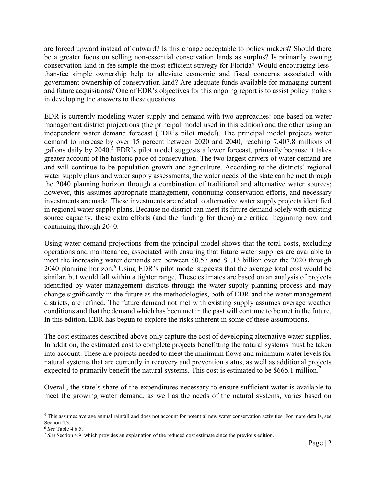are forced upward instead of outward? Is this change acceptable to policy makers? Should there be a greater focus on selling non-essential conservation lands as surplus? Is primarily owning conservation land in fee simple the most efficient strategy for Florida? Would encouraging lessthan-fee simple ownership help to alleviate economic and fiscal concerns associated with government ownership of conservation land? Are adequate funds available for managing current and future acquisitions? One of EDR's objectives for this ongoing report is to assist policy makers in developing the answers to these questions.

EDR is currently modeling water supply and demand with two approaches: one based on water management district projections (the principal model used in this edition) and the other using an independent water demand forecast (EDR's pilot model). The principal model projects water demand to increase by over 15 percent between 2020 and 2040, reaching 7,407.8 millions of gallons daily by 2040.<sup>5</sup> EDR's pilot model suggests a lower forecast, primarily because it takes greater account of the historic pace of conservation. The two largest drivers of water demand are and will continue to be population growth and agriculture. According to the districts' regional water supply plans and water supply assessments, the water needs of the state can be met through the 2040 planning horizon through a combination of traditional and alternative water sources; however, this assumes appropriate management, continuing conservation efforts, and necessary investments are made. These investments are related to alternative water supply projects identified in regional water supply plans. Because no district can meet its future demand solely with existing source capacity, these extra efforts (and the funding for them) are critical beginning now and continuing through 2040.

Using water demand projections from the principal model shows that the total costs, excluding operations and maintenance, associated with ensuring that future water supplies are available to meet the increasing water demands are between \$0.57 and \$1.13 billion over the 2020 through 2040 planning horizon.<sup>6</sup> Using EDR's pilot model suggests that the average total cost would be similar, but would fall within a tighter range. These estimates are based on an analysis of projects identified by water management districts through the water supply planning process and may change significantly in the future as the methodologies, both of EDR and the water management districts, are refined. The future demand not met with existing supply assumes average weather conditions and that the demand which has been met in the past will continue to be met in the future. In this edition, EDR has begun to explore the risks inherent in some of these assumptions.

The cost estimates described above only capture the cost of developing alternative water supplies. In addition, the estimated cost to complete projects benefitting the natural systems must be taken into account. These are projects needed to meet the minimum flows and minimum water levels for natural systems that are currently in recovery and prevention status, as well as additional projects expected to primarily benefit the natural systems. This cost is estimated to be \$665.1 million.<sup>7</sup>

Overall, the state's share of the expenditures necessary to ensure sufficient water is available to meet the growing water demand, as well as the needs of the natural systems, varies based on

 $\overline{a}$ 

<sup>5</sup> This assumes average annual rainfall and does not account for potential new water conservation activities. For more details, see Section 4.3.

<sup>6</sup> *See* Table 4.6.5.

<sup>7</sup> *See* Section 4.9, which provides an explanation of the reduced cost estimate since the previous edition.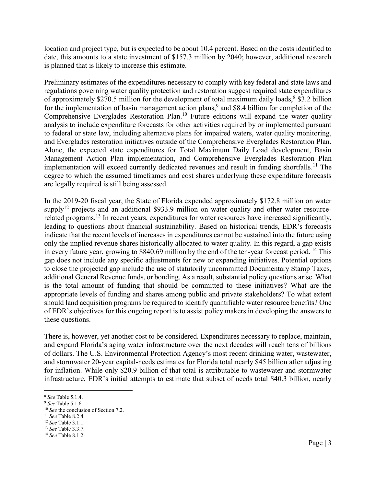location and project type, but is expected to be about 10.4 percent. Based on the costs identified to date, this amounts to a state investment of \$157.3 million by 2040; however, additional research is planned that is likely to increase this estimate.

Preliminary estimates of the expenditures necessary to comply with key federal and state laws and regulations governing water quality protection and restoration suggest required state expenditures of approximately \$270.5 million for the development of total maximum daily loads, <sup>8</sup> \$3.2 billion for the implementation of basin management action plans,<sup>9</sup> and \$8.4 billion for completion of the Comprehensive Everglades Restoration Plan.<sup>10</sup> Future editions will expand the water quality analysis to include expenditure forecasts for other activities required by or implemented pursuant to federal or state law, including alternative plans for impaired waters, water quality monitoring, and Everglades restoration initiatives outside of the Comprehensive Everglades Restoration Plan. Alone, the expected state expenditures for Total Maximum Daily Load development, Basin Management Action Plan implementation, and Comprehensive Everglades Restoration Plan implementation will exceed currently dedicated revenues and result in funding shortfalls.<sup>11</sup> The degree to which the assumed timeframes and cost shares underlying these expenditure forecasts are legally required is still being assessed.

In the 2019-20 fiscal year, the State of Florida expended approximately \$172.8 million on water supply<sup>12</sup> projects and an additional \$933.9 million on water quality and other water resourcerelated programs.<sup>13</sup> In recent years, expenditures for water resources have increased significantly, leading to questions about financial sustainability. Based on historical trends, EDR's forecasts indicate that the recent levels of increases in expenditures cannot be sustained into the future using only the implied revenue shares historically allocated to water quality. In this regard, a gap exists in every future year, growing to \$840.69 million by the end of the ten-year forecast period. <sup>14</sup> This gap does not include any specific adjustments for new or expanding initiatives. Potential options to close the projected gap include the use of statutorily uncommitted Documentary Stamp Taxes, additional General Revenue funds, or bonding. As a result, substantial policy questions arise. What is the total amount of funding that should be committed to these initiatives? What are the appropriate levels of funding and shares among public and private stakeholders? To what extent should land acquisition programs be required to identify quantifiable water resource benefits? One of EDR's objectives for this ongoing report is to assist policy makers in developing the answers to these questions.

There is, however, yet another cost to be considered. Expenditures necessary to replace, maintain, and expand Florida's aging water infrastructure over the next decades will reach tens of billions of dollars. The U.S. Environmental Protection Agency's most recent drinking water, wastewater, and stormwater 20-year capital-needs estimates for Florida total nearly \$45 billion after adjusting for inflation. While only \$20.9 billion of that total is attributable to wastewater and stormwater infrastructure, EDR's initial attempts to estimate that subset of needs total \$40.3 billion, nearly

 $\overline{a}$ 

<sup>8</sup> *See* Table 5.1.4.

<sup>9</sup> *See* Table 5.1.6.

<sup>&</sup>lt;sup>10</sup> *See* the conclusion of Section 7.2.

<sup>11</sup> *See* Table 8.2.4.

<sup>12</sup> *See* Table 3.1.1.

<sup>13</sup> *See* Table 3.3.7.

<sup>14</sup> *See* Table 8.1.2.